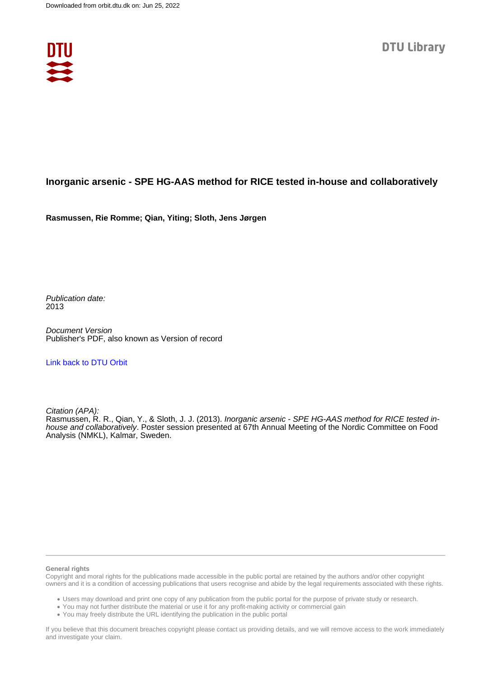

#### **Inorganic arsenic - SPE HG-AAS method for RICE tested in-house and collaboratively**

**Rasmussen, Rie Romme; Qian, Yiting; Sloth, Jens Jørgen**

Publication date: 2013

Document Version Publisher's PDF, also known as Version of record

#### [Link back to DTU Orbit](https://orbit.dtu.dk/en/publications/1cca8860-3ac4-48d2-9a04-f68bccde7c16)

Citation (APA):

Rasmussen, R. R., Qian, Y., & Sloth, J. J. (2013). Inorganic arsenic - SPE HG-AAS method for RICE tested inhouse and collaboratively. Poster session presented at 67th Annual Meeting of the Nordic Committee on Food Analysis (NMKL), Kalmar, Sweden.

#### **General rights**

Copyright and moral rights for the publications made accessible in the public portal are retained by the authors and/or other copyright owners and it is a condition of accessing publications that users recognise and abide by the legal requirements associated with these rights.

Users may download and print one copy of any publication from the public portal for the purpose of private study or research.

- You may not further distribute the material or use it for any profit-making activity or commercial gain
- You may freely distribute the URL identifying the publication in the public portal

If you believe that this document breaches copyright please contact us providing details, and we will remove access to the work immediately and investigate your claim.